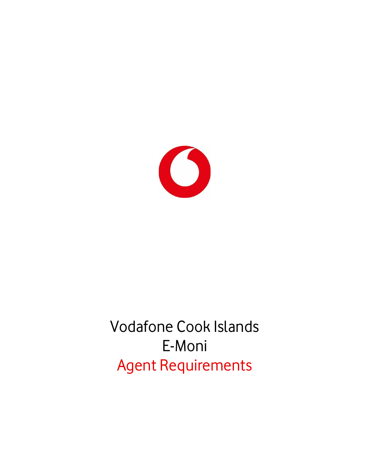

# Vodafone Cook Islands E-Moni Agent Requirements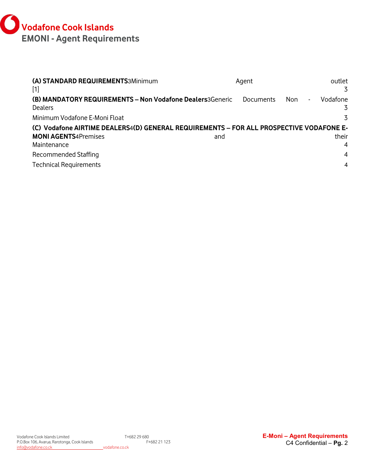

| (A) STANDARD REQUIREMENTS3Minimum<br>$[1]$                                              | Agent     | outlet<br>3           |
|-----------------------------------------------------------------------------------------|-----------|-----------------------|
| (B) MANDATORY REQUIREMENTS - Non Vodafone Dealers3Generic<br><b>Dealers</b>             | Documents | Vodafone<br>Non<br>۰. |
| Minimum Vodafone E-Moni Float                                                           |           | 3                     |
| (C) Vodafone AIRTIME DEALERS4(D) GENERAL REQUIREMENTS - FOR ALL PROSPECTIVE VODAFONE E- |           |                       |
| <b>MONI AGENTS4Premises</b>                                                             | and       | their                 |
| Maintenance                                                                             |           | 4                     |
| Recommended Staffing                                                                    |           | 4                     |
| <b>Technical Requirements</b>                                                           |           | 4                     |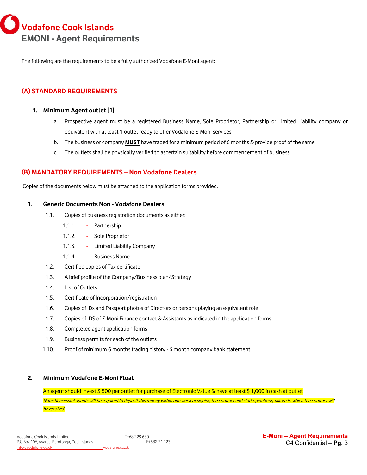**Vodafone Cook Islands EMONI - Agent Requirements**

The following are the requirements to be a fully authorized Vodafone E-Moni agent:

# <span id="page-2-0"></span>**(A) STANDARD REQUIREMENTS**

### <span id="page-2-1"></span>**1. Minimum Agent outlet [1]**

- a. Prospective agent must be a registered Business Name, Sole Proprietor, Partnership or Limited Liability company or equivalent with at least 1 outlet ready to offer Vodafone E-Moni services
- b. The business or company **MUST** have traded for a minimum period of 6 months & provide proof of the same
- c. The outlets shall be physically verified to ascertain suitability before commencement of business

## <span id="page-2-2"></span>**(B) MANDATORY REQUIREMENTS – Non Vodafone Dealers**

Copies of the documents below must be attached to the application forms provided.

### <span id="page-2-3"></span>**1. Generic Documents Non - Vodafone Dealers**

- 1.1. Copies of business registration documents as either:
	- 1.1.1. Partnership
	- 1.1.2. Sole Proprietor
	- 1.1.3. Limited Liability Company
	- 1.1.4. Business Name
- 1.2. Certified copies of Tax certificate
- 1.3. A brief profile of the Company/Business plan/Strategy
- 1.4. List of Outlets
- 1.5. Certificate of Incorporation/registration
- 1.6. Copies of IDs and Passport photos of Directors or persons playing an equivalent role
- 1.7. Copies of IDS of E-Moni Finance contact & Assistants as indicated in the application forms
- 1.8. Completed agent application forms
- 1.9. Business permits for each of the outlets
- 1.10. Proof of minimum 6 months trading history 6 month company bank statement

## <span id="page-2-4"></span>**2. Minimum Vodafone E-Moni Float**

An agent should invest \$ 500 per outlet for purchase of Electronic Value & have at least \$ 1,000 in cash at outlet Note: Successful agents will be required to deposit this money within one week of signing the contract and start operations, failure to which the contract will be revoked.